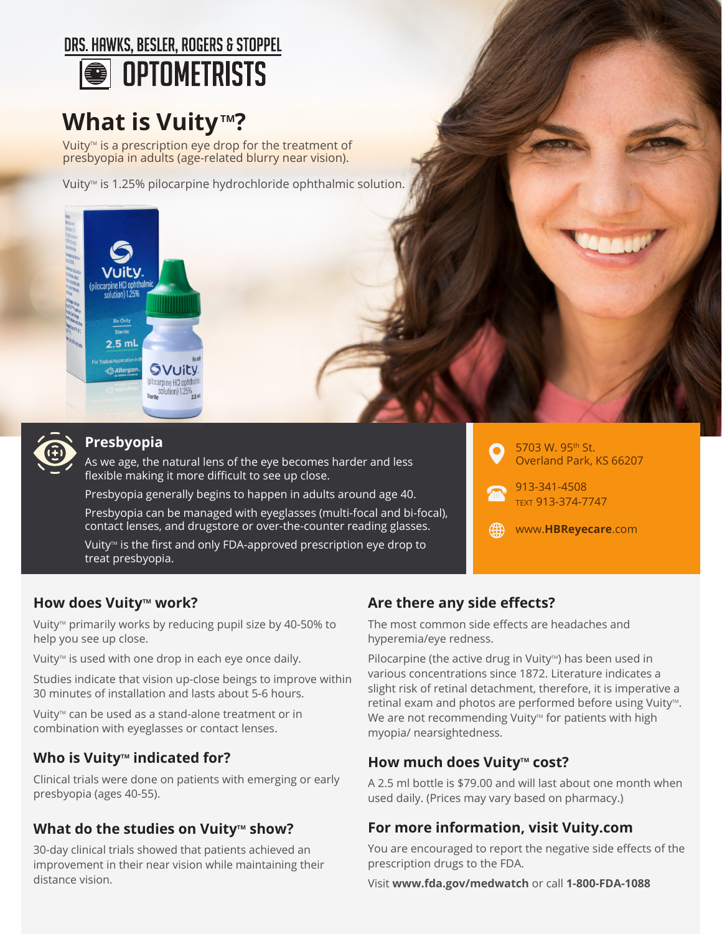## DRS. HAWKS. BESLER. ROGERS & STOPPEL **OPTOMETRISTS**

# **What is Vuity tm?**

Vuity<sup>™</sup> is a prescription eye drop for the treatment of presbyopia in adults (age-related blurry near vision).

Vuity<sup>™</sup> is 1.25% pilocarpine hydrochloride ophthalmic solution.





### **Presbyopia**

As we age, the natural lens of the eye becomes harder and less flexible making it more difficult to see up close.

Presbyopia generally begins to happen in adults around age 40.

Presbyopia can be managed with eyeglasses (multi-focal and bi-focal), contact lenses, and drugstore or over-the-counter reading glasses.

Vuity<sup>™</sup> is the first and only FDA-approved prescription eye drop to treat presbyopia.



913-341-4508 TEXT 913-374-7747

俄 www.**HBReyecare**.com

#### **How does Vuitytm work?**

Vuity<sup>™</sup> primarily works by reducing pupil size by 40-50% to help you see up close.

Vuity<sup>™</sup> is used with one drop in each eye once daily.

Studies indicate that vision up-close beings to improve within 30 minutes of installation and lasts about 5-6 hours.

Vuity<sup>™</sup> can be used as a stand-alone treatment or in combination with eyeglasses or contact lenses.

#### **Who is Vuitytm indicated for?**

Clinical trials were done on patients with emerging or early presbyopia (ages 40-55).

### **What do the studies on Vuity<sup>™</sup> show?**

30-day clinical trials showed that patients achieved an improvement in their near vision while maintaining their distance vision.

### **Are there any side effects?**

The most common side effects are headaches and hyperemia/eye redness.

Pilocarpine (the active drug in Vuity<sup> $M$ </sup>) has been used in various concentrations since 1872. Literature indicates a slight risk of retinal detachment, therefore, it is imperative a retinal exam and photos are performed before using Vuity™. We are not recommending Vuity<sup>™</sup> for patients with high myopia/ nearsightedness.

#### **How much does Vuity<sup>™</sup> cost?**

A 2.5 ml bottle is \$79.00 and will last about one month when used daily. (Prices may vary based on pharmacy.)

#### **For more information, visit Vuity.com**

You are encouraged to report the negative side effects of the prescription drugs to the FDA.

Visit **www.fda.gov/medwatch** or call **1-800-FDA-1088**